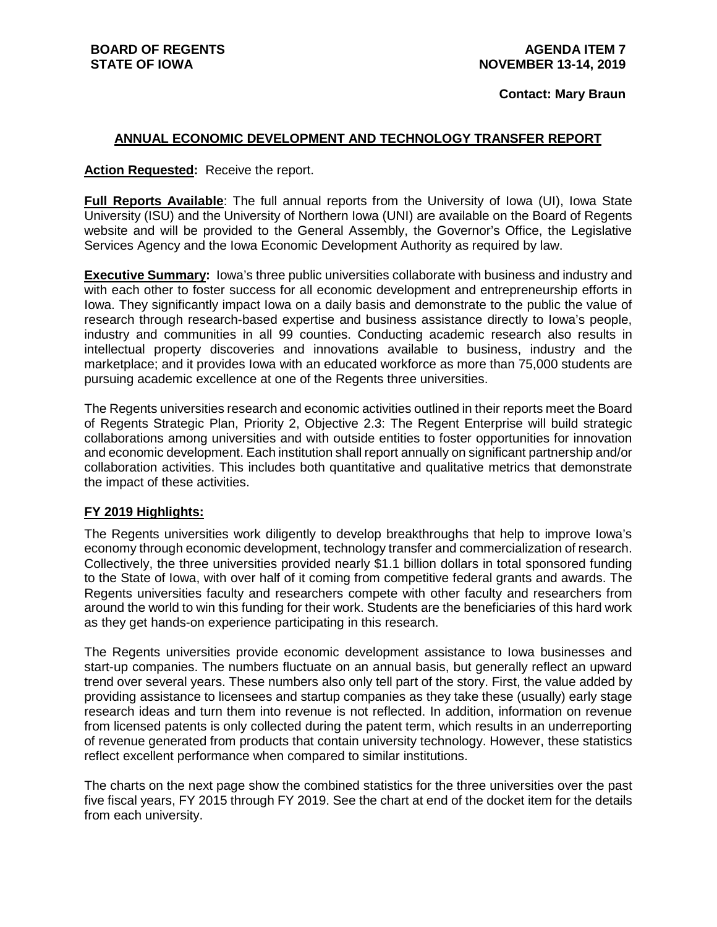#### **Contact: Mary Braun**

### **ANNUAL ECONOMIC DEVELOPMENT AND TECHNOLOGY TRANSFER REPORT**

#### **Action Requested:** Receive the report.

**Full Reports Available**: The full annual reports from the University of Iowa (UI), Iowa State University (ISU) and the University of Northern Iowa (UNI) are available on the Board of Regents website and will be provided to the General Assembly, the Governor's Office, the Legislative Services Agency and the Iowa Economic Development Authority as required by law.

**Executive Summary:** Iowa's three public universities collaborate with business and industry and with each other to foster success for all economic development and entrepreneurship efforts in Iowa. They significantly impact Iowa on a daily basis and demonstrate to the public the value of research through research-based expertise and business assistance directly to Iowa's people, industry and communities in all 99 counties. Conducting academic research also results in intellectual property discoveries and innovations available to business, industry and the marketplace; and it provides Iowa with an educated workforce as more than 75,000 students are pursuing academic excellence at one of the Regents three universities.

The Regents universities research and economic activities outlined in their reports meet the Board of Regents Strategic Plan, Priority 2, Objective 2.3: The Regent Enterprise will build strategic collaborations among universities and with outside entities to foster opportunities for innovation and economic development. Each institution shall report annually on significant partnership and/or collaboration activities. This includes both quantitative and qualitative metrics that demonstrate the impact of these activities.

#### **FY 2019 Highlights:**

The Regents universities work diligently to develop breakthroughs that help to improve Iowa's economy through economic development, technology transfer and commercialization of research. Collectively, the three universities provided nearly \$1.1 billion dollars in total sponsored funding to the State of Iowa, with over half of it coming from competitive federal grants and awards. The Regents universities faculty and researchers compete with other faculty and researchers from around the world to win this funding for their work. Students are the beneficiaries of this hard work as they get hands-on experience participating in this research.

The Regents universities provide economic development assistance to Iowa businesses and start-up companies. The numbers fluctuate on an annual basis, but generally reflect an upward trend over several years. These numbers also only tell part of the story. First, the value added by providing assistance to licensees and startup companies as they take these (usually) early stage research ideas and turn them into revenue is not reflected. In addition, information on revenue from licensed patents is only collected during the patent term, which results in an underreporting of revenue generated from products that contain university technology. However, these statistics reflect excellent performance when compared to similar institutions.

The charts on the next page show the combined statistics for the three universities over the past five fiscal years, FY 2015 through FY 2019. See the chart at end of the docket item for the details from each university.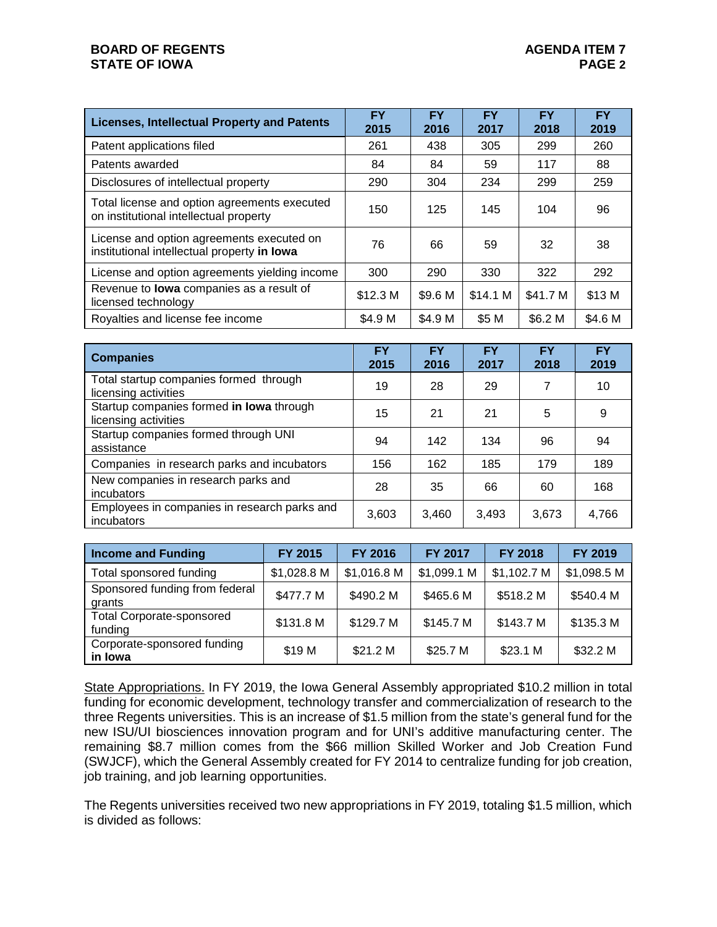## **BOARD OF REGENTS STATE OF IOWA**

| <b>Licenses, Intellectual Property and Patents</b>                                       | <b>FY</b><br>2015 | <b>FY</b><br>2016 | <b>FY</b><br>2017 | <b>FY</b><br>2018 | <b>FY</b><br>2019 |
|------------------------------------------------------------------------------------------|-------------------|-------------------|-------------------|-------------------|-------------------|
| Patent applications filed                                                                | 261               | 438               | 305               | 299               | 260               |
| Patents awarded                                                                          | 84                | 84                | 59                | 117               | 88                |
| Disclosures of intellectual property                                                     | 290               | 304               | 234               | 299               | 259               |
| Total license and option agreements executed<br>on institutional intellectual property   | 150               | 125               | 145               | 104               | 96                |
| License and option agreements executed on<br>institutional intellectual property in lowa | 76                | 66                | 59                | 32                | 38                |
| License and option agreements yielding income                                            | 300               | 290               | 330               | 322               | 292               |
| Revenue to lowa companies as a result of<br>licensed technology                          | \$12.3 M          | \$9.6 M           | \$14.1 M          | \$41.7 M          | \$13 M            |
| Royalties and license fee income                                                         | \$4.9 M           | \$4.9 M           | \$5 M             | \$6.2 M           | \$4.6 M           |

| <b>Companies</b>                                                 | <b>FY</b><br>2015 | <b>FY</b><br>2016 | <b>FY</b><br>2017 | <b>FY</b><br>2018 | <b>FY</b><br>2019 |
|------------------------------------------------------------------|-------------------|-------------------|-------------------|-------------------|-------------------|
| Total startup companies formed through<br>licensing activities   | 19                | 28                | 29                |                   | 10                |
| Startup companies formed in lowa through<br>licensing activities | 15                | 21                | 21                | 5                 | 9                 |
| Startup companies formed through UNI<br>assistance               | 94                | 142               | 134               | 96                | 94                |
| Companies in research parks and incubators                       | 156               | 162               | 185               | 179               | 189               |
| New companies in research parks and<br>incubators                | 28                | 35                | 66                | 60                | 168               |
| Employees in companies in research parks and<br>incubators       | 3,603             | 3,460             | 3,493             | 3,673             | 4,766             |

| <b>Income and Funding</b>                   | FY 2015     | <b>FY 2016</b> | <b>FY 2017</b> | <b>FY 2018</b> | <b>FY 2019</b> |
|---------------------------------------------|-------------|----------------|----------------|----------------|----------------|
| Total sponsored funding                     | \$1,028.8 M | \$1,016.8 M    | \$1,099.1 M    | \$1,102.7 M    | \$1,098.5 M    |
| Sponsored funding from federal<br>grants    | \$477.7 M   | \$490.2 M      | \$465.6 M      | \$518.2 M      | \$540.4 M      |
| <b>Total Corporate-sponsored</b><br>funding | \$131.8 M   | \$129.7 M      | \$145.7 M      | \$143.7 M      | \$135.3 M      |
| Corporate-sponsored funding<br>in Iowa      | \$19 M      | \$21.2 M       | \$25.7 M       | \$23.1 M       | \$32.2 M       |

State Appropriations. In FY 2019, the Iowa General Assembly appropriated \$10.2 million in total funding for economic development, technology transfer and commercialization of research to the three Regents universities. This is an increase of \$1.5 million from the state's general fund for the new ISU/UI biosciences innovation program and for UNI's additive manufacturing center. The remaining \$8.7 million comes from the \$66 million Skilled Worker and Job Creation Fund (SWJCF), which the General Assembly created for FY 2014 to centralize funding for job creation, job training, and job learning opportunities.

The Regents universities received two new appropriations in FY 2019, totaling \$1.5 million, which is divided as follows: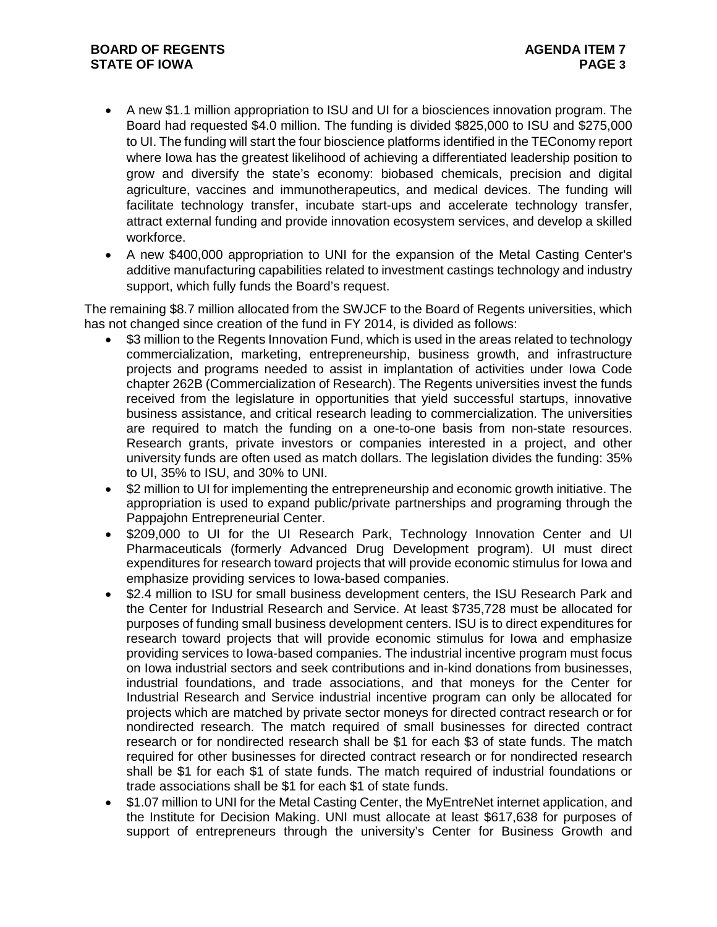## **BOARD OF REGENTS STATE OF IOWA**

- A new \$1.1 million appropriation to ISU and UI for a biosciences innovation program. The Board had requested \$4.0 million. The funding is divided \$825,000 to ISU and \$275,000 to UI. The funding will start the four bioscience platforms identified in the TEConomy report where Iowa has the greatest likelihood of achieving a differentiated leadership position to grow and diversify the state's economy: biobased chemicals, precision and digital agriculture, vaccines and immunotherapeutics, and medical devices. The funding will facilitate technology transfer, incubate start-ups and accelerate technology transfer, attract external funding and provide innovation ecosystem services, and develop a skilled workforce.
- A new \$400,000 appropriation to UNI for the expansion of the Metal Casting Center's additive manufacturing capabilities related to investment castings technology and industry support, which fully funds the Board's request.

The remaining \$8.7 million allocated from the SWJCF to the Board of Regents universities, which has not changed since creation of the fund in FY 2014, is divided as follows:

- \$3 million to the Regents Innovation Fund, which is used in the areas related to technology commercialization, marketing, entrepreneurship, business growth, and infrastructure projects and programs needed to assist in implantation of activities under Iowa Code chapter 262B (Commercialization of Research). The Regents universities invest the funds received from the legislature in opportunities that yield successful startups, innovative business assistance, and critical research leading to commercialization. The universities are required to match the funding on a one-to-one basis from non-state resources. Research grants, private investors or companies interested in a project, and other university funds are often used as match dollars. The legislation divides the funding: 35% to UI, 35% to ISU, and 30% to UNI.
- \$2 million to UI for implementing the entrepreneurship and economic growth initiative. The appropriation is used to expand public/private partnerships and programing through the Pappajohn Entrepreneurial Center.
- \$209,000 to UI for the UI Research Park, Technology Innovation Center and UI Pharmaceuticals (formerly Advanced Drug Development program). UI must direct expenditures for research toward projects that will provide economic stimulus for Iowa and emphasize providing services to Iowa-based companies.
- \$2.4 million to ISU for small business development centers, the ISU Research Park and the Center for Industrial Research and Service. At least \$735,728 must be allocated for purposes of funding small business development centers. ISU is to direct expenditures for research toward projects that will provide economic stimulus for Iowa and emphasize providing services to Iowa-based companies. The industrial incentive program must focus on Iowa industrial sectors and seek contributions and in-kind donations from businesses, industrial foundations, and trade associations, and that moneys for the Center for Industrial Research and Service industrial incentive program can only be allocated for projects which are matched by private sector moneys for directed contract research or for nondirected research. The match required of small businesses for directed contract research or for nondirected research shall be \$1 for each \$3 of state funds. The match required for other businesses for directed contract research or for nondirected research shall be \$1 for each \$1 of state funds. The match required of industrial foundations or trade associations shall be \$1 for each \$1 of state funds.
- \$1.07 million to UNI for the Metal Casting Center, the MyEntreNet internet application, and the Institute for Decision Making. UNI must allocate at least \$617,638 for purposes of support of entrepreneurs through the university's Center for Business Growth and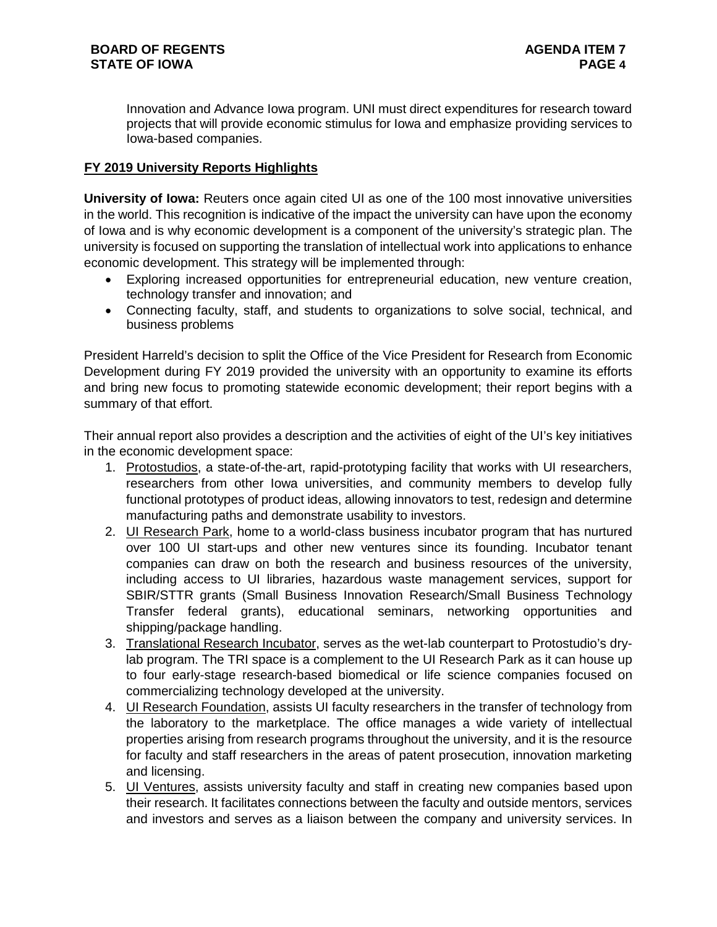Innovation and Advance Iowa program. UNI must direct expenditures for research toward projects that will provide economic stimulus for Iowa and emphasize providing services to Iowa-based companies.

# **FY 2019 University Reports Highlights**

**University of Iowa:** Reuters once again cited UI as one of the 100 most innovative universities in the world. This recognition is indicative of the impact the university can have upon the economy of Iowa and is why economic development is a component of the university's strategic plan. The university is focused on supporting the translation of intellectual work into applications to enhance economic development. This strategy will be implemented through:

- Exploring increased opportunities for entrepreneurial education, new venture creation, technology transfer and innovation; and
- Connecting faculty, staff, and students to organizations to solve social, technical, and business problems

President Harreld's decision to split the Office of the Vice President for Research from Economic Development during FY 2019 provided the university with an opportunity to examine its efforts and bring new focus to promoting statewide economic development; their report begins with a summary of that effort.

Their annual report also provides a description and the activities of eight of the UI's key initiatives in the economic development space:

- 1. Protostudios, a state-of-the-art, rapid-prototyping facility that works with UI researchers, researchers from other Iowa universities, and community members to develop fully functional prototypes of product ideas, allowing innovators to test, redesign and determine manufacturing paths and demonstrate usability to investors.
- 2. UI Research Park, home to a world-class business incubator program that has nurtured over 100 UI start-ups and other new ventures since its founding. Incubator tenant companies can draw on both the research and business resources of the university, including access to UI libraries, hazardous waste management services, support for SBIR/STTR grants (Small Business Innovation Research/Small Business Technology Transfer federal grants), educational seminars, networking opportunities and shipping/package handling.
- 3. Translational Research Incubator, serves as the wet-lab counterpart to Protostudio's drylab program. The TRI space is a complement to the UI Research Park as it can house up to four early-stage research-based biomedical or life science companies focused on commercializing technology developed at the university.
- 4. UI Research Foundation, assists UI faculty researchers in the transfer of technology from the laboratory to the marketplace. The office manages a wide variety of intellectual properties arising from research programs throughout the university, and it is the resource for faculty and staff researchers in the areas of patent prosecution, innovation marketing and licensing.
- 5. UI Ventures, assists university faculty and staff in creating new companies based upon their research. It facilitates connections between the faculty and outside mentors, services and investors and serves as a liaison between the company and university services. In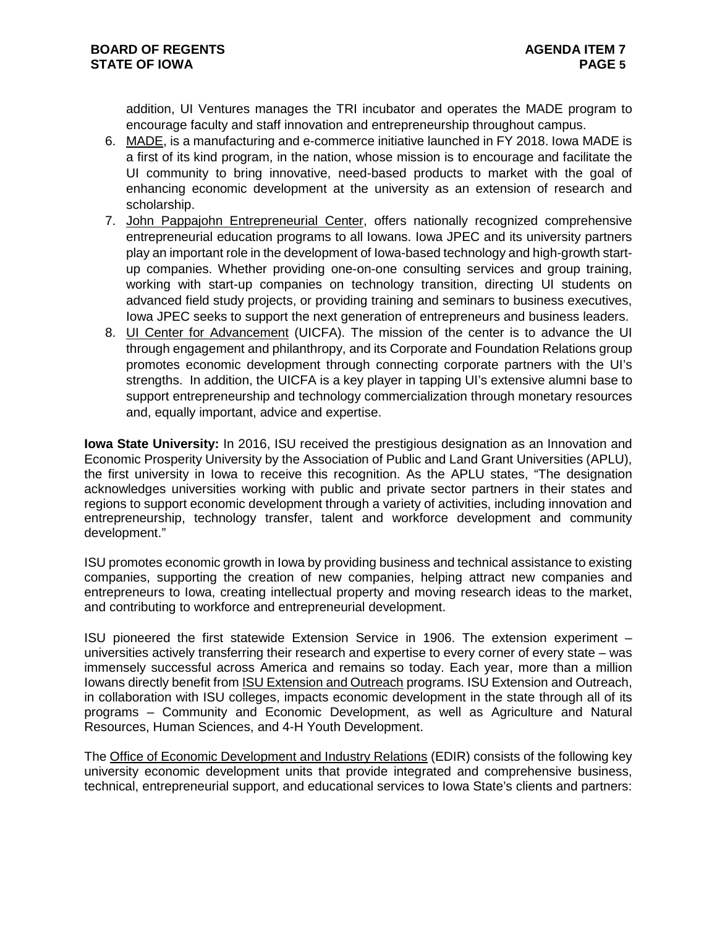addition, UI Ventures manages the TRI incubator and operates the MADE program to encourage faculty and staff innovation and entrepreneurship throughout campus.

- 6. MADE, is a manufacturing and e-commerce initiative launched in FY 2018. Iowa MADE is a first of its kind program, in the nation, whose mission is to encourage and facilitate the UI community to bring innovative, need-based products to market with the goal of enhancing economic development at the university as an extension of research and scholarship.
- 7. John Pappajohn Entrepreneurial Center, offers nationally recognized comprehensive entrepreneurial education programs to all Iowans. Iowa JPEC and its university partners play an important role in the development of Iowa-based technology and high-growth startup companies. Whether providing one-on-one consulting services and group training, working with start-up companies on technology transition, directing UI students on advanced field study projects, or providing training and seminars to business executives, Iowa JPEC seeks to support the next generation of entrepreneurs and business leaders.
- 8. UI Center for Advancement (UICFA). The mission of the center is to advance the UI through engagement and philanthropy, and its Corporate and Foundation Relations group promotes economic development through connecting corporate partners with the UI's strengths. In addition, the UICFA is a key player in tapping UI's extensive alumni base to support entrepreneurship and technology commercialization through monetary resources and, equally important, advice and expertise.

**Iowa State University:** In 2016, ISU received the prestigious designation as an Innovation and Economic Prosperity University by the Association of Public and Land Grant Universities (APLU), the first university in Iowa to receive this recognition. As the APLU states, "The designation acknowledges universities working with public and private sector partners in their states and regions to support economic development through a variety of activities, including innovation and entrepreneurship, technology transfer, talent and workforce development and community development."

ISU promotes economic growth in Iowa by providing business and technical assistance to existing companies, supporting the creation of new companies, helping attract new companies and entrepreneurs to Iowa, creating intellectual property and moving research ideas to the market, and contributing to workforce and entrepreneurial development.

ISU pioneered the first statewide Extension Service in 1906. The extension experiment – universities actively transferring their research and expertise to every corner of every state – was immensely successful across America and remains so today. Each year, more than a million Iowans directly benefit from ISU Extension and Outreach programs. ISU Extension and Outreach, in collaboration with ISU colleges, impacts economic development in the state through all of its programs – Community and Economic Development, as well as Agriculture and Natural Resources, Human Sciences, and 4-H Youth Development.

The Office of Economic Development and Industry Relations (EDIR) consists of the following key university economic development units that provide integrated and comprehensive business, technical, entrepreneurial support, and educational services to Iowa State's clients and partners: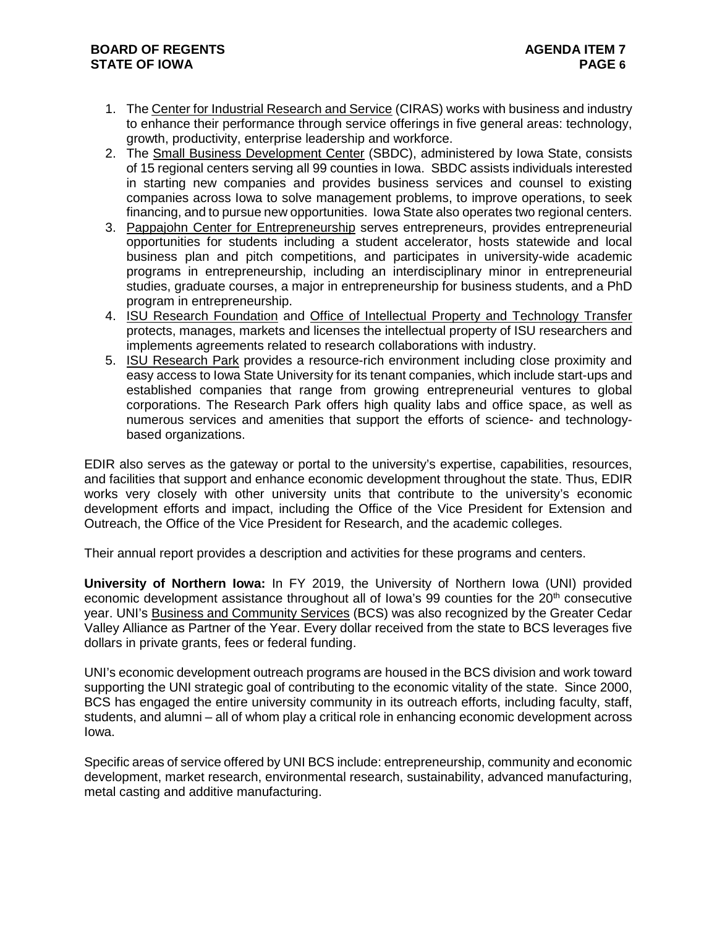- 1. The Center for Industrial Research and Service (CIRAS) works with business and industry to enhance their performance through service offerings in five general areas: technology, growth, productivity, enterprise leadership and workforce.
- 2. The Small Business Development Center (SBDC), administered by Iowa State, consists of 15 regional centers serving all 99 counties in Iowa. SBDC assists individuals interested in starting new companies and provides business services and counsel to existing companies across Iowa to solve management problems, to improve operations, to seek financing, and to pursue new opportunities. Iowa State also operates two regional centers.
- 3. Pappajohn Center for Entrepreneurship serves entrepreneurs, provides entrepreneurial opportunities for students including a student accelerator, hosts statewide and local business plan and pitch competitions, and participates in university-wide academic programs in entrepreneurship, including an interdisciplinary minor in entrepreneurial studies, graduate courses, a major in entrepreneurship for business students, and a PhD program in entrepreneurship.
- 4. ISU Research Foundation and Office of Intellectual Property and Technology Transfer protects, manages, markets and licenses the intellectual property of ISU researchers and implements agreements related to research collaborations with industry.
- 5. ISU Research Park provides a resource-rich environment including close proximity and easy access to Iowa State University for its tenant companies, which include start-ups and established companies that range from growing entrepreneurial ventures to global corporations. The Research Park offers high quality labs and office space, as well as numerous services and amenities that support the efforts of science- and technologybased organizations.

EDIR also serves as the gateway or portal to the university's expertise, capabilities, resources, and facilities that support and enhance economic development throughout the state. Thus, EDIR works very closely with other university units that contribute to the university's economic development efforts and impact, including the Office of the Vice President for Extension and Outreach, the Office of the Vice President for Research, and the academic colleges.

Their annual report provides a description and activities for these programs and centers.

**University of Northern Iowa:** In FY 2019, the University of Northern Iowa (UNI) provided economic development assistance throughout all of Iowa's 99 counties for the 20<sup>th</sup> consecutive year. UNI's Business and Community Services (BCS) was also recognized by the Greater Cedar Valley Alliance as Partner of the Year. Every dollar received from the state to BCS leverages five dollars in private grants, fees or federal funding.

UNI's economic development outreach programs are housed in the BCS division and work toward supporting the UNI strategic goal of contributing to the economic vitality of the state. Since 2000, BCS has engaged the entire university community in its outreach efforts, including faculty, staff, students, and alumni – all of whom play a critical role in enhancing economic development across Iowa.

Specific areas of service offered by UNI BCS include: entrepreneurship, community and economic development, market research, environmental research, sustainability, advanced manufacturing, metal casting and additive manufacturing.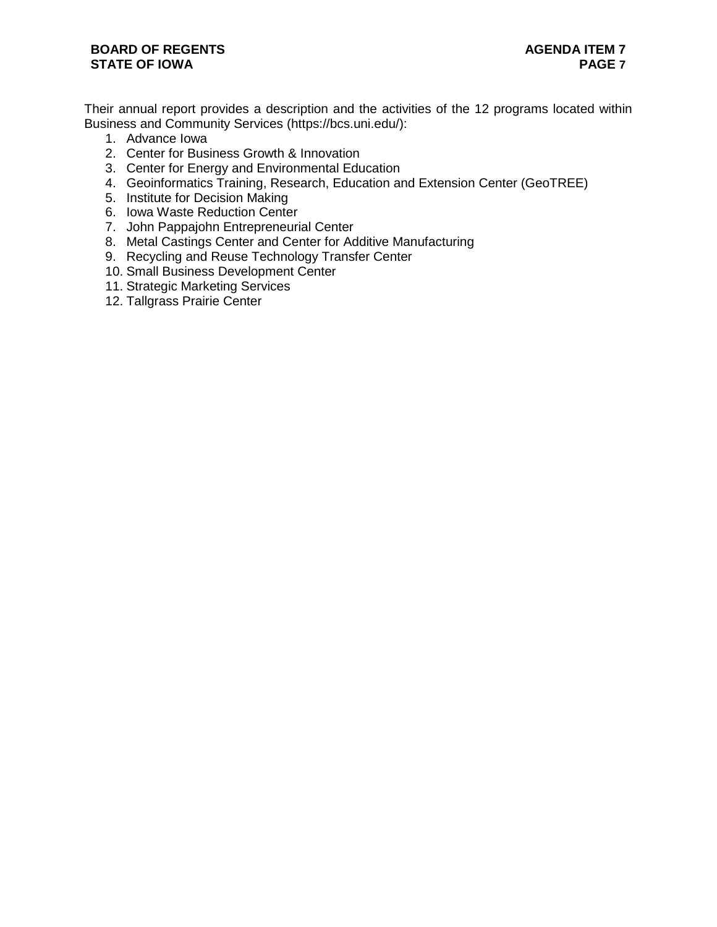## **BOARD OF REGENTS STATE OF IOWA**

Their annual report provides a description and the activities of the 12 programs located within Business and Community Services (https://bcs.uni.edu/):

- 1. Advance Iowa
- 2. Center for Business Growth & Innovation
- 3. Center for Energy and Environmental Education
- 4. Geoinformatics Training, Research, Education and Extension Center (GeoTREE)
- 5. Institute for Decision Making
- 6. Iowa Waste Reduction Center
- 7. John Pappajohn Entrepreneurial Center
- 8. Metal Castings Center and Center for Additive Manufacturing
- 9. Recycling and Reuse Technology Transfer Center
- 10. Small Business Development Center
- 11. Strategic Marketing Services
- 12. Tallgrass Prairie Center